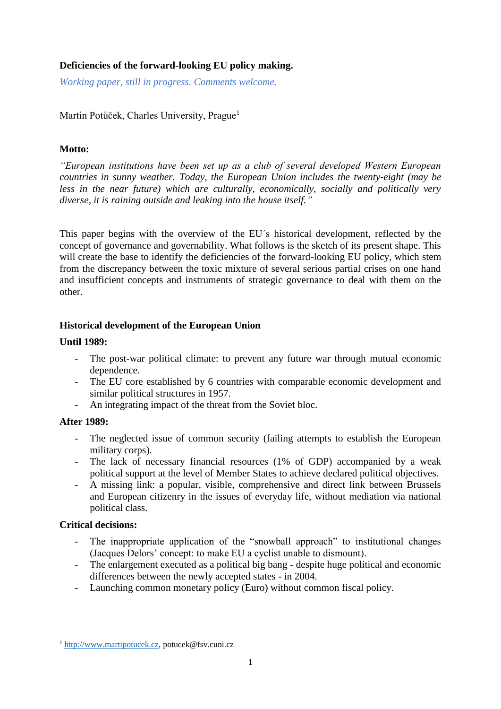# **Deficiencies of the forward-looking EU policy making.**

*Working paper, still in progress. Comments welcome.*

Martin Potůček, Charles University, Prague<sup>1</sup>

# **Motto:**

*"European institutions have been set up as a club of several developed Western European countries in sunny weather. Today, the European Union includes the twenty-eight (may be less in the near future) which are culturally, economically, socially and politically very diverse, it is raining outside and leaking into the house itself."*

This paper begins with the overview of the EU´s historical development, reflected by the concept of governance and governability. What follows is the sketch of its present shape. This will create the base to identify the deficiencies of the forward-looking EU policy, which stem from the discrepancy between the toxic mixture of several serious partial crises on one hand and insufficient concepts and instruments of strategic governance to deal with them on the other.

## **Historical development of the European Union**

## **Until 1989:**

- The post-war political climate: to prevent any future war through mutual economic dependence.
- The EU core established by 6 countries with comparable economic development and similar political structures in 1957.
- An integrating impact of the threat from the Soviet bloc.

# **After 1989:**

- The neglected issue of common security (failing attempts to establish the European military corps).
- The lack of necessary financial resources (1% of GDP) accompanied by a weak political support at the level of Member States to achieve declared political objectives.
- A missing link: a popular, visible, comprehensive and direct link between Brussels and European citizenry in the issues of everyday life, without mediation via national political class.

## **Critical decisions:**

**.** 

- The inappropriate application of the "snowball approach" to institutional changes (Jacques Delors' concept: to make EU a cyclist unable to dismount).
- The enlargement executed as a political big bang despite huge political and economic differences between the newly accepted states - in 2004.
- Launching common monetary policy (Euro) without common fiscal policy.

<sup>&</sup>lt;sup>1</sup> [http://www.martipotucek.cz,](http://www.martipotucek.cz/) potucek@fsv.cuni.cz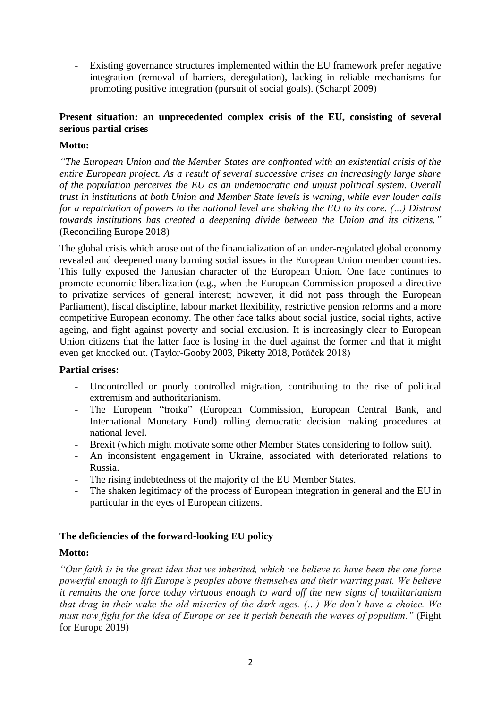- Existing governance structures implemented within the EU framework prefer negative integration (removal of barriers, deregulation), lacking in reliable mechanisms for promoting positive integration (pursuit of social goals). (Scharpf 2009)

# **Present situation: an unprecedented complex crisis of the EU, consisting of several serious partial crises**

### **Motto:**

*"The European Union and the Member States are confronted with an existential crisis of the entire European project. As a result of several successive crises an increasingly large share of the population perceives the EU as an undemocratic and unjust political system. Overall trust in institutions at both Union and Member State levels is waning, while ever louder calls for a repatriation of powers to the national level are shaking the EU to its core. (…) Distrust towards institutions has created a deepening divide between the Union and its citizens."* (Reconciling Europe 2018)

The global crisis which arose out of the financialization of an under-regulated global economy revealed and deepened many burning social issues in the European Union member countries. This fully exposed the Janusian character of the European Union. One face continues to promote economic liberalization (e.g., when the European Commission proposed a directive to privatize services of general interest; however, it did not pass through the European Parliament), fiscal discipline, labour market flexibility, restrictive pension reforms and a more competitive European economy. The other face talks about social justice, social rights, active ageing, and fight against poverty and social exclusion. It is increasingly clear to European Union citizens that the latter face is losing in the duel against the former and that it might even get knocked out. (Taylor-Gooby 2003, Piketty 2018, Potůček 2018)

### **Partial crises:**

- Uncontrolled or poorly controlled migration, contributing to the rise of political extremism and authoritarianism.
- The European "troika" (European Commission, European Central Bank, and International Monetary Fund) rolling democratic decision making procedures at national level.
- Brexit (which might motivate some other Member States considering to follow suit).
- An inconsistent engagement in Ukraine, associated with deteriorated relations to Russia.
- The rising indebtedness of the majority of the EU Member States.
- The shaken legitimacy of the process of European integration in general and the EU in particular in the eyes of European citizens.

## **The deficiencies of the forward-looking EU policy**

### **Motto:**

*"Our faith is in the great idea that we inherited, which we believe to have been the one force powerful enough to lift Europe's peoples above themselves and their warring past. We believe it remains the one force today virtuous enough to ward off the new signs of totalitarianism that drag in their wake the old miseries of the dark ages. (…) We don't have a choice. We must now fight for the idea of Europe or see it perish beneath the waves of populism."* (Fight for Europe 2019)